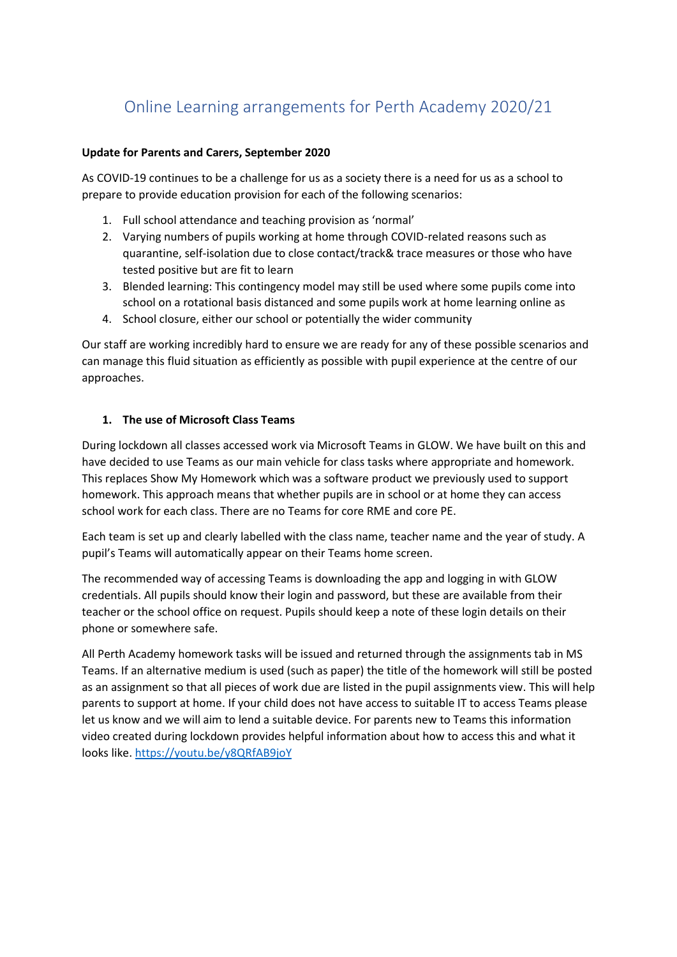# Online Learning arrangements for Perth Academy 2020/21

### **Update for Parents and Carers, September 2020**

As COVID-19 continues to be a challenge for us as a society there is a need for us as a school to prepare to provide education provision for each of the following scenarios:

- 1. Full school attendance and teaching provision as 'normal'
- 2. Varying numbers of pupils working at home through COVID-related reasons such as quarantine, self-isolation due to close contact/track& trace measures or those who have tested positive but are fit to learn
- 3. Blended learning: This contingency model may still be used where some pupils come into school on a rotational basis distanced and some pupils work at home learning online as
- 4. School closure, either our school or potentially the wider community

Our staff are working incredibly hard to ensure we are ready for any of these possible scenarios and can manage this fluid situation as efficiently as possible with pupil experience at the centre of our approaches.

## **1. The use of Microsoft Class Teams**

During lockdown all classes accessed work via Microsoft Teams in GLOW. We have built on this and have decided to use Teams as our main vehicle for class tasks where appropriate and homework. This replaces Show My Homework which was a software product we previously used to support homework. This approach means that whether pupils are in school or at home they can access school work for each class. There are no Teams for core RME and core PE.

Each team is set up and clearly labelled with the class name, teacher name and the year of study. A pupil's Teams will automatically appear on their Teams home screen.

The recommended way of accessing Teams is downloading the app and logging in with GLOW credentials. All pupils should know their login and password, but these are available from their teacher or the school office on request. Pupils should keep a note of these login details on their phone or somewhere safe.

All Perth Academy homework tasks will be issued and returned through the assignments tab in MS Teams. If an alternative medium is used (such as paper) the title of the homework will still be posted as an assignment so that all pieces of work due are listed in the pupil assignments view. This will help parents to support at home. If your child does not have access to suitable IT to access Teams please let us know and we will aim to lend a suitable device. For parents new to Teams this information video created during lockdown provides helpful information about how to access this and what it looks like[. https://youtu.be/y8QRfAB9joY](https://youtu.be/y8QRfAB9joY)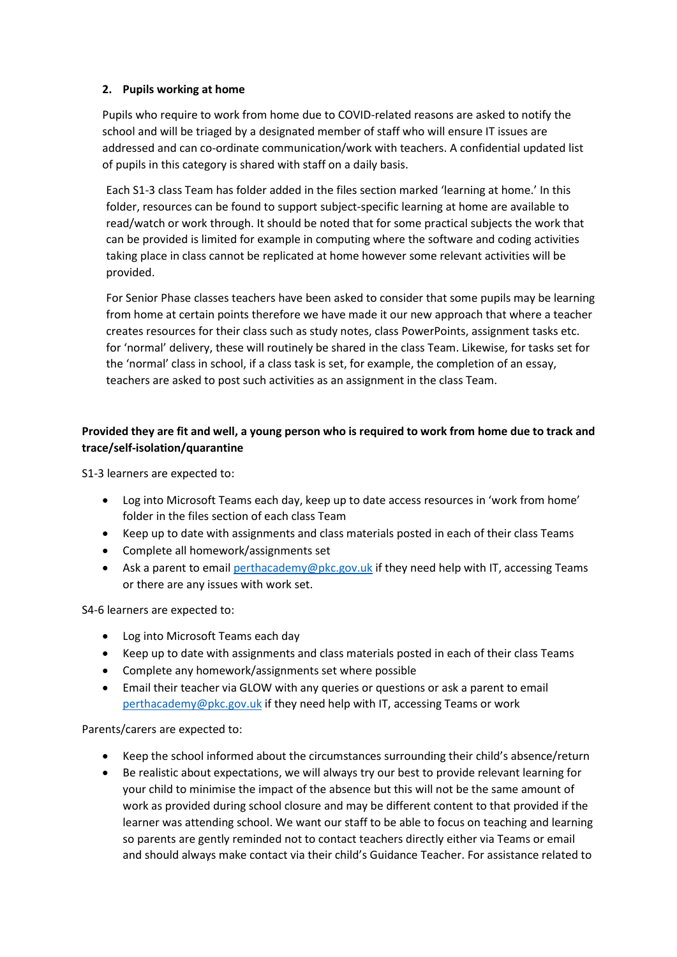### **2. Pupils working at home**

Pupils who require to work from home due to COVID-related reasons are asked to notify the school and will be triaged by a designated member of staff who will ensure IT issues are addressed and can co-ordinate communication/work with teachers. A confidential updated list of pupils in this category is shared with staff on a daily basis.

Each S1-3 class Team has folder added in the files section marked 'learning at home.' In this folder, resources can be found to support subject-specific learning at home are available to read/watch or work through. It should be noted that for some practical subjects the work that can be provided is limited for example in computing where the software and coding activities taking place in class cannot be replicated at home however some relevant activities will be provided.

For Senior Phase classes teachers have been asked to consider that some pupils may be learning from home at certain points therefore we have made it our new approach that where a teacher creates resources for their class such as study notes, class PowerPoints, assignment tasks etc. for 'normal' delivery, these will routinely be shared in the class Team. Likewise, for tasks set for the 'normal' class in school, if a class task is set, for example, the completion of an essay, teachers are asked to post such activities as an assignment in the class Team.

# **Provided they are fit and well, a young person who is required to work from home due to track and trace/self-isolation/quarantine**

S1-3 learners are expected to:

- Log into Microsoft Teams each day, keep up to date access resources in 'work from home' folder in the files section of each class Team
- Keep up to date with assignments and class materials posted in each of their class Teams
- Complete all homework/assignments set
- Ask a parent to email [perthacademy@pkc.gov.uk](mailto:perthacademy@pkc.gov.uk) if they need help with IT, accessing Teams or there are any issues with work set.

S4-6 learners are expected to:

- Log into Microsoft Teams each day
- Keep up to date with assignments and class materials posted in each of their class Teams
- Complete any homework/assignments set where possible
- Email their teacher via GLOW with any queries or questions or ask a parent to email [perthacademy@pkc.gov.uk](mailto:perthacademy@pkc.gov.uk) if they need help with IT, accessing Teams or work

Parents/carers are expected to:

- Keep the school informed about the circumstances surrounding their child's absence/return
- Be realistic about expectations, we will always try our best to provide relevant learning for your child to minimise the impact of the absence but this will not be the same amount of work as provided during school closure and may be different content to that provided if the learner was attending school. We want our staff to be able to focus on teaching and learning so parents are gently reminded not to contact teachers directly either via Teams or email and should always make contact via their child's Guidance Teacher. For assistance related to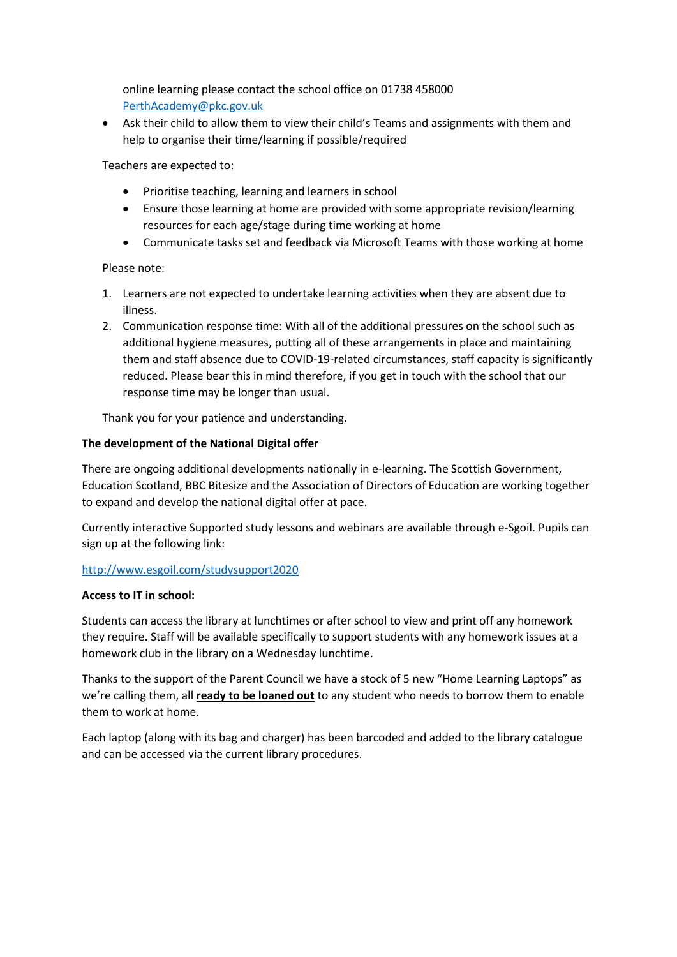online learning please contact the school office on 01738 458000 [PerthAcademy@pkc.gov.uk](mailto:PerthAcademy@pkc.gov.uk)

• Ask their child to allow them to view their child's Teams and assignments with them and help to organise their time/learning if possible/required

Teachers are expected to:

- Prioritise teaching, learning and learners in school
- Ensure those learning at home are provided with some appropriate revision/learning resources for each age/stage during time working at home
- Communicate tasks set and feedback via Microsoft Teams with those working at home

Please note:

- 1. Learners are not expected to undertake learning activities when they are absent due to illness.
- 2. Communication response time: With all of the additional pressures on the school such as additional hygiene measures, putting all of these arrangements in place and maintaining them and staff absence due to COVID-19-related circumstances, staff capacity is significantly reduced. Please bear this in mind therefore, if you get in touch with the school that our response time may be longer than usual.

Thank you for your patience and understanding.

### **The development of the National Digital offer**

There are ongoing additional developments nationally in e-learning. The Scottish Government, Education Scotland, BBC Bitesize and the Association of Directors of Education are working together to expand and develop the national digital offer at pace.

Currently interactive Supported study lessons and webinars are available through e-Sgoil. Pupils can sign up at the following link:

### <http://www.esgoil.com/studysupport2020>

### **Access to IT in school:**

Students can access the library at lunchtimes or after school to view and print off any homework they require. Staff will be available specifically to support students with any homework issues at a homework club in the library on a Wednesday lunchtime.

Thanks to the support of the Parent Council we have a stock of 5 new "Home Learning Laptops" as we're calling them, all **ready to be loaned out** to any student who needs to borrow them to enable them to work at home.

Each laptop (along with its bag and charger) has been barcoded and added to the library catalogue and can be accessed via the current library procedures.